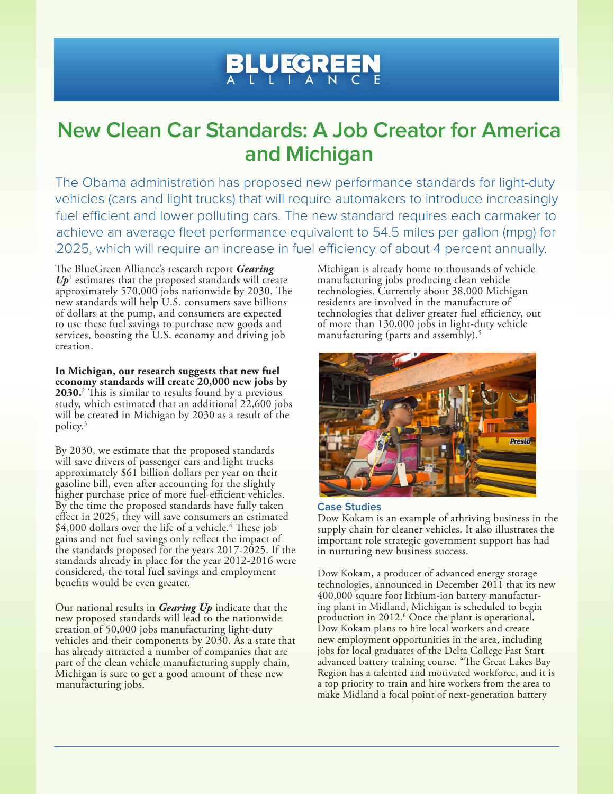## **BLUEGREEN**

## **New Clean Car Standards: A Job Creator for America and Michigan**

The Obama administration has proposed new performance standards for light-duty vehicles (cars and light trucks) that will require automakers to introduce increasingly fuel efficient and lower polluting cars. The new standard requires each carmaker to achieve an average fleet performance equivalent to 54.5 miles per gallon (mpg) for 2025, which will require an increase in fuel efficiency of about 4 percent annually.

The BlueGreen Alliance's research report *Gearing*   $U p$ <sup>1</sup> estimates that the proposed standards will create approximately 570,000 jobs nationwide by 2030. The new standards will help U.S. consumers save billions of dollars at the pump, and consumers are expected to use these fuel savings to purchase new goods and services, boosting the U.S. economy and driving job creation.

**In Michigan, our research suggests that new fuel economy standards will create 20,000 new jobs by 2030.**<sup>2</sup> This is similar to results found by a previous study, which estimated that an additional 22,600 jobs will be created in Michigan by 2030 as a result of the policy.3

By 2030, we estimate that the proposed standards will save drivers of passenger cars and light trucks approximately \$61 billion dollars per year on their gasoline bill, even after accounting for the slightly higher purchase price of more fuel-efficient vehicles. By the time the proposed standards have fully taken effect in 2025, they will save consumers an estimated \$4,000 dollars over the life of a vehicle.<sup>4</sup> These job gains and net fuel savings only reflect the impact of the standards proposed for the years 2017-2025. If the standards already in place for the year 2012-2016 were considered, the total fuel savings and employment benefits would be even greater.

Our national results in *Gearing Up* indicate that the new proposed standards will lead to the nationwide creation of 50,000 jobs manufacturing light-duty vehicles and their components by 2030. As a state that has already attracted a number of companies that are part of the clean vehicle manufacturing supply chain, Michigan is sure to get a good amount of these new manufacturing jobs.

Michigan is already home to thousands of vehicle manufacturing jobs producing clean vehicle technologies. Currently about 38,000 Michigan residents are involved in the manufacture of technologies that deliver greater fuel efficiency, out of more than 130,000 jobs in light-duty vehicle manufacturing (parts and assembly).<sup>5</sup>



## **Case Studies**

Dow Kokam is an example of athriving business in the supply chain for cleaner vehicles. It also illustrates the important role strategic government support has had in nurturing new business success.

Dow Kokam, a producer of advanced energy storage technologies, announced in December 2011 that its new 400,000 square foot lithium-ion battery manufacturing plant in Midland, Michigan is scheduled to begin production in 2012.<sup>6</sup> Once the plant is operational, Dow Kokam plans to hire local workers and create new employment opportunities in the area, including jobs for local graduates of the Delta College Fast Start advanced battery training course. "The Great Lakes Bay Region has a talented and motivated workforce, and it is a top priority to train and hire workers from the area to make Midland a focal point of next-generation battery